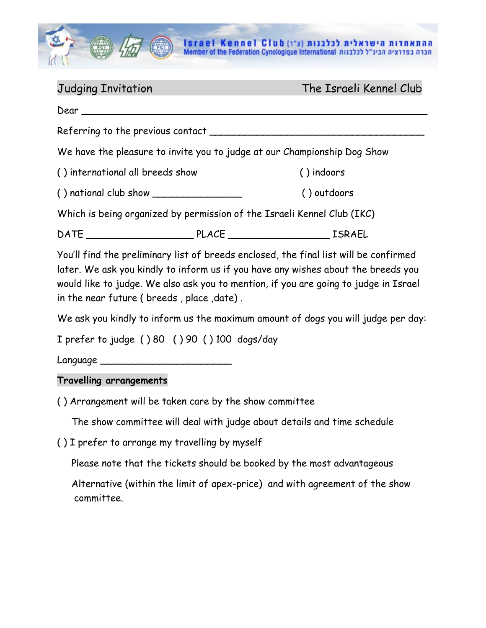

Judging Invitation The Israeli Kennel Club

|                                  |  | We have the pleasure to invite you to judge at our Championship Dog Show                                                                                                                                                                                           |
|----------------------------------|--|--------------------------------------------------------------------------------------------------------------------------------------------------------------------------------------------------------------------------------------------------------------------|
| () international all breeds show |  | () indoors                                                                                                                                                                                                                                                         |
|                                  |  | () outdoors                                                                                                                                                                                                                                                        |
|                                  |  | Which is being organized by permission of the Israeli Kennel Club (IKC)                                                                                                                                                                                            |
|                                  |  |                                                                                                                                                                                                                                                                    |
|                                  |  | You'll find the preliminary list of breeds enclosed, the final list will be confirmed<br>later. We ask you kindly to inform us if you have any wishes about the breeds you<br>would like to judge. We also ask you to mention, if you are going to judge in Israel |

in the near future ( breeds , place ,date) .

We ask you kindly to inform us the maximum amount of dogs you will judge per day:

I prefer to judge ( ) 80 ( ) 90 ( ) 100 dogs/day

Language \_

## **Travelling arrangements**

( ) Arrangement will be taken care by the show committee

The show committee will deal with judge about details and time schedule

( ) I prefer to arrange my travelling by myself

Please note that the tickets should be booked by the most advantageous

 Alternative (within the limit of apex-price) and with agreement of the show committee.